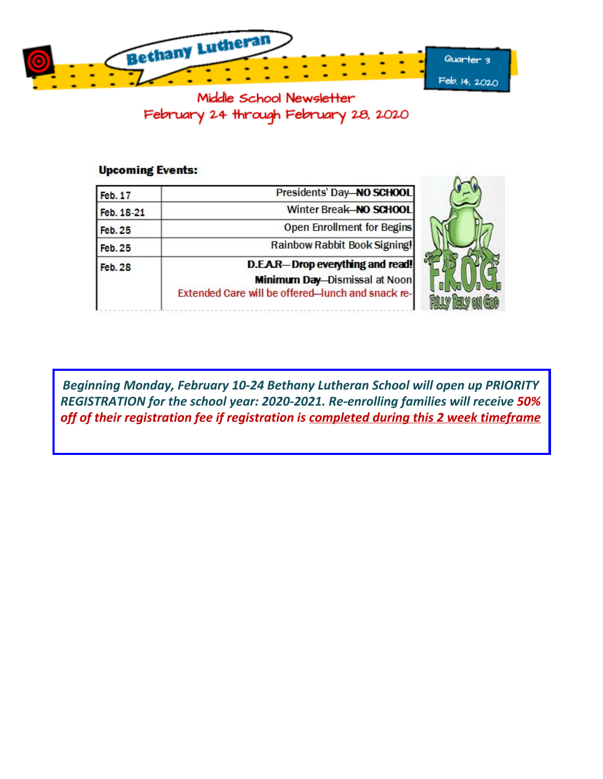

Middle School Newsletter February 24 through February 28, 2020

### **Upcoming Events:**

| Feb. 17        | Presidents' Day-NO SCHOOL                                                                                                             |  |  |
|----------------|---------------------------------------------------------------------------------------------------------------------------------------|--|--|
| Feb. 18-21     | Winter Break NO SCHOOL                                                                                                                |  |  |
| <b>Feb. 25</b> | <b>Open Enrollment for Begins</b>                                                                                                     |  |  |
| <b>Feb. 25</b> | Rainbow Rabbit Book Signing!                                                                                                          |  |  |
| <b>Feb. 28</b> | <b>D.E.A.R-Drop everything and read!</b><br><b>Minimum Day-Dismissal at Noon</b><br>Extended Care will be offered-lunch and snack re- |  |  |

*Beginning Monday, February 10-24 Bethany Lutheran School will open up PRIORITY REGISTRATION for the school year: 2020-2021. Re-enrolling families will receive 50% off of their registration fee if registration is completed during this 2 week timeframe*

**BLY ON**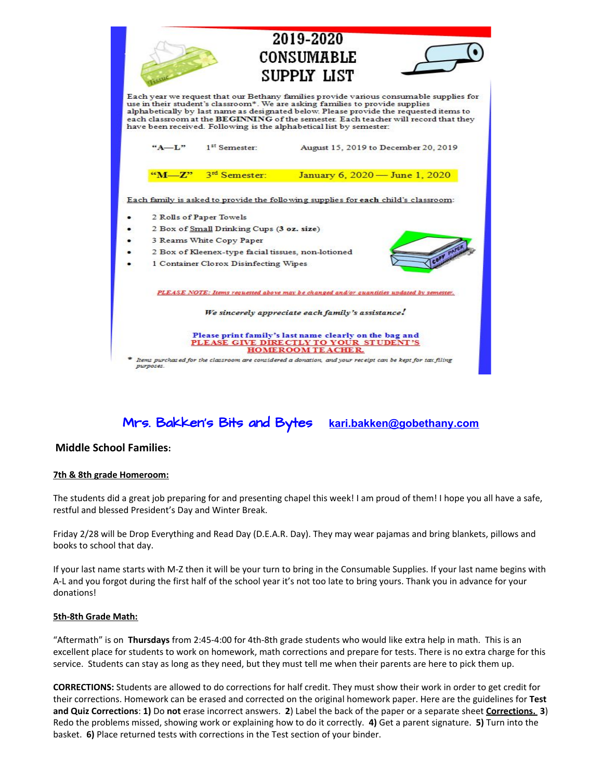|                                                                                                                                                                                                                                                                                                                                                                                                                                 |                                                                                                                                                                                                 | 2019-2020<br>CONSUMABLE<br>SUPPLY LIST                                                                   |  |  |  |
|---------------------------------------------------------------------------------------------------------------------------------------------------------------------------------------------------------------------------------------------------------------------------------------------------------------------------------------------------------------------------------------------------------------------------------|-------------------------------------------------------------------------------------------------------------------------------------------------------------------------------------------------|----------------------------------------------------------------------------------------------------------|--|--|--|
| Each year we request that our Bethany families provide various consumable supplies for<br>use in their student's classroom*. We are asking families to provide supplies<br>alphabetically by last name as designated below. Please provide the requested items to<br>each classroom at the BEGINNING of the semester. Each teacher will record that they<br>have been received. Following is the alphabetical list by semester: |                                                                                                                                                                                                 |                                                                                                          |  |  |  |
| $A - L$                                                                                                                                                                                                                                                                                                                                                                                                                         | 1 <sup>st</sup> Semester:                                                                                                                                                                       | August 15, 2019 to December 20, 2019                                                                     |  |  |  |
| $\alpha M = 722$                                                                                                                                                                                                                                                                                                                                                                                                                | 3rd Semester:                                                                                                                                                                                   | January 6, 2020 - June 1, 2020                                                                           |  |  |  |
|                                                                                                                                                                                                                                                                                                                                                                                                                                 | 2 Rolls of Paper Towels<br>2 Box of Small Drinking Cups (3 oz. size)<br>3 Reams White Copy Paper<br>2 Box of Kleenex-type facial tissues, non-lotioned<br>1 Container Clorox Disinfecting Wipes | Each family is asked to provide the following supplies for each child's classroom:                       |  |  |  |
|                                                                                                                                                                                                                                                                                                                                                                                                                                 |                                                                                                                                                                                                 | PLEASE NOTE: Items requested above may be changed and/or quantities updated by semester.                 |  |  |  |
| We sincerely appreciate each family's assistance.                                                                                                                                                                                                                                                                                                                                                                               |                                                                                                                                                                                                 |                                                                                                          |  |  |  |
| Please print family's last name clearly on the bag and<br>PLEASE GIVE DIRECTLY TO YOUR STUDENT'S<br><b>HOMEROOM TEACHER.</b>                                                                                                                                                                                                                                                                                                    |                                                                                                                                                                                                 |                                                                                                          |  |  |  |
| purposes.                                                                                                                                                                                                                                                                                                                                                                                                                       |                                                                                                                                                                                                 | Items purchased for the classroom are considered a donation, and your receipt can be kept for tax filing |  |  |  |

Mrs. Bakken's Bits and Bytes **kari.bakken@gobethany.com**

#### **Middle School Families:**

#### **7th & 8th grade Homeroom:**

The students did a great job preparing for and presenting chapel this week! I am proud of them! I hope you all have a safe, restful and blessed President's Day and Winter Break.

Friday 2/28 will be Drop Everything and Read Day (D.E.A.R. Day). They may wear pajamas and bring blankets, pillows and books to school that day.

If your last name starts with M-Z then it will be your turn to bring in the Consumable Supplies. If your last name begins with A-L and you forgot during the first half of the school year it's not too late to bring yours. Thank you in advance for your donations!

#### **5th-8th Grade Math:**

"Aftermath" is on **Thursdays** from 2:45-4:00 for 4th-8th grade students who would like extra help in math. This is an excellent place for students to work on homework, math corrections and prepare for tests. There is no extra charge for this service. Students can stay as long as they need, but they must tell me when their parents are here to pick them up.

**CORRECTIONS:** Students are allowed to do corrections for half credit. They must show their work in order to get credit for their corrections. Homework can be erased and corrected on the original homework paper. Here are the guidelines for **Test and Quiz Corrections**: **1)** Do **not** erase incorrect answers. **2**) Label the back of the paper or a separate sheet **Corrections. 3**) Redo the problems missed, showing work or explaining how to do it correctly. **4)** Get a parent signature. **5)** Turn into the basket. **6)** Place returned tests with corrections in the Test section of your binder.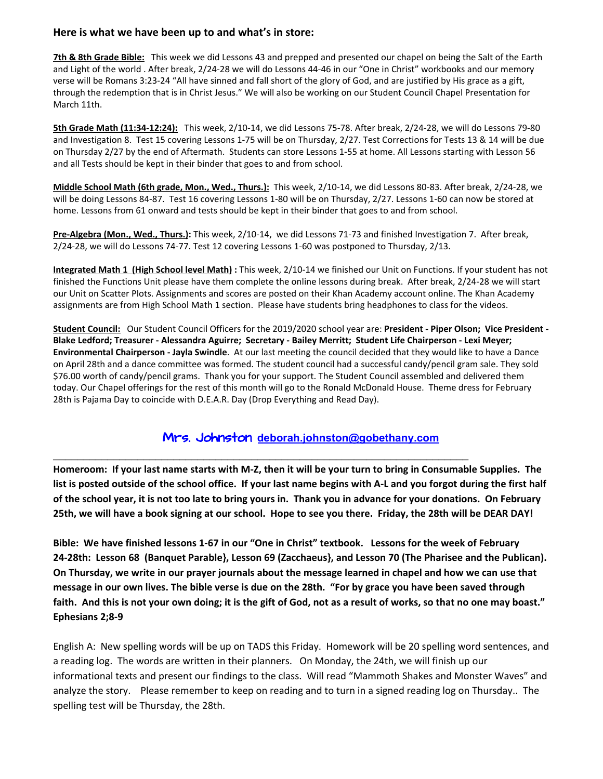#### **Here is what we have been up to and what's in store:**

**7th & 8th Grade Bible:** This week we did Lessons 43 and prepped and presented our chapel on being the Salt of the Earth and Light of the world . After break, 2/24-28 we will do Lessons 44-46 in our "One in Christ" workbooks and our memory verse will be Romans 3:23-24 "All have sinned and fall short of the glory of God, and are justified by His grace as a gift, through the redemption that is in Christ Jesus." We will also be working on our Student Council Chapel Presentation for March 11th.

**5th Grade Math (11:34-12:24):** This week, 2/10-14, we did Lessons 75-78. After break, 2/24-28, we will do Lessons 79-80 and Investigation 8. Test 15 covering Lessons 1-75 will be on Thursday, 2/27. Test Corrections for Tests 13 & 14 will be due on Thursday 2/27 by the end of Aftermath. Students can store Lessons 1-55 at home. All Lessons starting with Lesson 56 and all Tests should be kept in their binder that goes to and from school.

**Middle School Math (6th grade, Mon., Wed., Thurs.):** This week, 2/10-14, we did Lessons 80-83. After break, 2/24-28, we will be doing Lessons 84-87. Test 16 covering Lessons 1-80 will be on Thursday, 2/27. Lessons 1-60 can now be stored at home. Lessons from 61 onward and tests should be kept in their binder that goes to and from school.

**Pre-Algebra (Mon., Wed., Thurs.):** This week, 2/10-14, we did Lessons 71-73 and finished Investigation 7. After break, 2/24-28, we will do Lessons 74-77. Test 12 covering Lessons 1-60 was postponed to Thursday, 2/13.

**Integrated Math 1 (High School level Math) :** This week, 2/10-14 we finished our Unit on Functions. If your student has not finished the Functions Unit please have them complete the online lessons during break. After break, 2/24-28 we will start our Unit on Scatter Plots. Assignments and scores are posted on their Khan Academy account online. The Khan Academy assignments are from High School Math 1 section. Please have students bring headphones to class for the videos.

**Student Council:** Our Student Council Officers for the 2019/2020 school year are: **President - Piper Olson; Vice President -** Blake Ledford; Treasurer - Alessandra Aguirre; Secretary - Bailey Merritt; Student Life Chairperson - Lexi Meyer; **Environmental Chairperson - Jayla Swindle**. At our last meeting the council decided that they would like to have a Dance on April 28th and a dance committee was formed. The student council had a successful candy/pencil gram sale. They sold \$76.00 worth of candy/pencil grams. Thank you for your support. The Student Council assembled and delivered them today. Our Chapel offerings for the rest of this month will go to the Ronald McDonald House. Theme dress for February 28th is Pajama Day to coincide with D.E.A.R. Day (Drop Everything and Read Day).

# Mrs. Johnston **deborah.johnsto[n@gobethany.com](mailto:megumi.nomura@gobethany.com)**

\_\_\_\_\_\_\_\_\_\_\_\_\_\_\_\_\_\_\_\_\_\_\_\_\_\_\_\_\_\_\_\_\_\_\_\_\_\_\_\_\_\_\_\_\_\_\_\_\_\_\_\_\_\_\_\_\_\_\_\_\_\_\_\_\_\_\_\_\_

Homeroom: If your last name starts with M-Z, then it will be your turn to bring in Consumable Supplies. The list is posted outside of the school office. If your last name begins with A-L and you forgot during the first half of the school year, it is not too late to bring yours in. Thank you in advance for your donations. On February 25th, we will have a book signing at our school. Hope to see you there. Friday, the 28th will be DEAR DAY!

Bible: We have finished lessons 1-67 in our "One in Christ" textbook. Lessons for the week of February **24-28th: Lesson 68 (Banquet Parable}, Lesson 69 (Zacchaeus}, and Lesson 70 (The Pharisee and the Publican).** On Thursday, we write in our prayer journals about the message learned in chapel and how we can use that message in our own lives. The bible verse is due on the 28th. "For by grace you have been saved through faith. And this is not your own doing; it is the gift of God, not as a result of works, so that no one may boast." **Ephesians 2;8-9**

English A: New spelling words will be up on TADS this Friday. Homework will be 20 spelling word sentences, and a reading log. The words are written in their planners. On Monday, the 24th, we will finish up our informational texts and present our findings to the class. Will read "Mammoth Shakes and Monster Waves" and analyze the story. Please remember to keep on reading and to turn in a signed reading log on Thursday.. The spelling test will be Thursday, the 28th.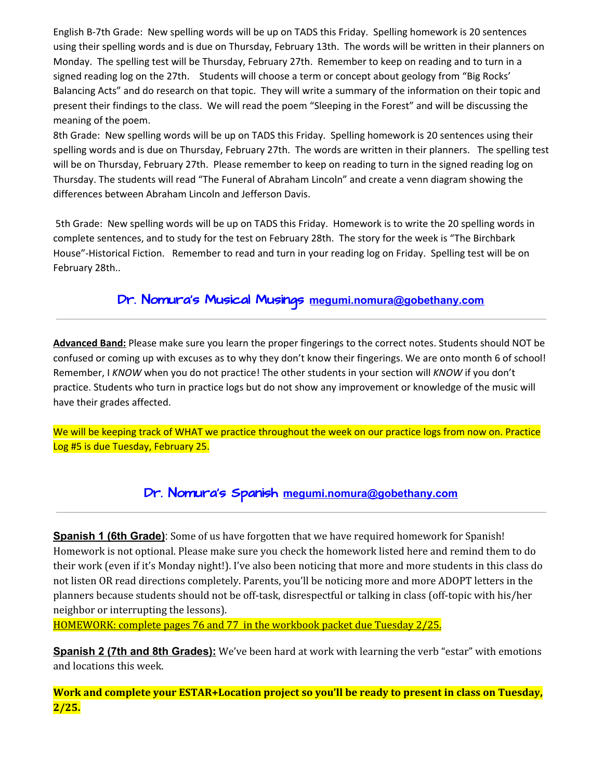English B-7th Grade: New spelling words will be up on TADS this Friday. Spelling homework is 20 sentences using their spelling words and is due on Thursday, February 13th. The words will be written in their planners on Monday. The spelling test will be Thursday, February 27th. Remember to keep on reading and to turn in a signed reading log on the 27th. Students will choose a term or concept about geology from "Big Rocks' Balancing Acts" and do research on that topic. They will write a summary of the information on their topic and present their findings to the class. We will read the poem "Sleeping in the Forest" and will be discussing the meaning of the poem.

8th Grade: New spelling words will be up on TADS this Friday. Spelling homework is 20 sentences using their spelling words and is due on Thursday, February 27th. The words are written in their planners. The spelling test will be on Thursday, February 27th. Please remember to keep on reading to turn in the signed reading log on Thursday. The students will read "The Funeral of Abraham Lincoln" and create a venn diagram showing the differences between Abraham Lincoln and Jefferson Davis.

5th Grade: New spelling words will be up on TADS this Friday. Homework is to write the 20 spelling words in complete sentences, and to study for the test on February 28th. The story for the week is "The Birchbark House"-Historical Fiction. Remember to read and turn in your reading log on Friday. Spelling test will be on February 28th..

# Dr. Nomura's Musical Musings **[megumi.nomura@gobethany.com](mailto:megumi.nomura@gobethany.com)**

**Advanced Band:** Please make sure you learn the proper fingerings to the correct notes. Students should NOT be confused or coming up with excuses as to why they don't know their fingerings. We are onto month 6 of school! Remember, I *KNOW* when you do not practice! The other students in your section will *KNOW* if you don't practice. Students who turn in practice logs but do not show any improvement or knowledge of the music will have their grades affected.

We will be keeping track of WHAT we practice throughout the week on our practice logs from now on. Practice Log #5 is due Tuesday, February 25.

# Dr. Nomura's Spanish **[megumi.nomura@gobethany.com](mailto:megumi.nomura@gobethany.com)**

**Spanish 1 (6th Grade)**: Some of us have forgotten that we have required homework for Spanish! Homework is not optional. Please make sure you check the homework listed here and remind them to do their work (even if it's Monday night!). I've also been noticing that more and more students in this class do not listen OR read directions completely. Parents, you'll be noticing more and more ADOPT letters in the planners because students should not be off-task, disrespectful or talking in class (off-topic with his/her neighbor or interrupting the lessons).

HOMEWORK: complete pages 76 and 77 in the workbook packet due Tuesday 2/25.

**Spanish 2 (7th and 8th Grades):** We've been hard at work with learning the verb "estar" with emotions and locations this week.

**Work and complete your ESTAR+Location project so you'll be ready to present in class on Tuesday, 2/25.**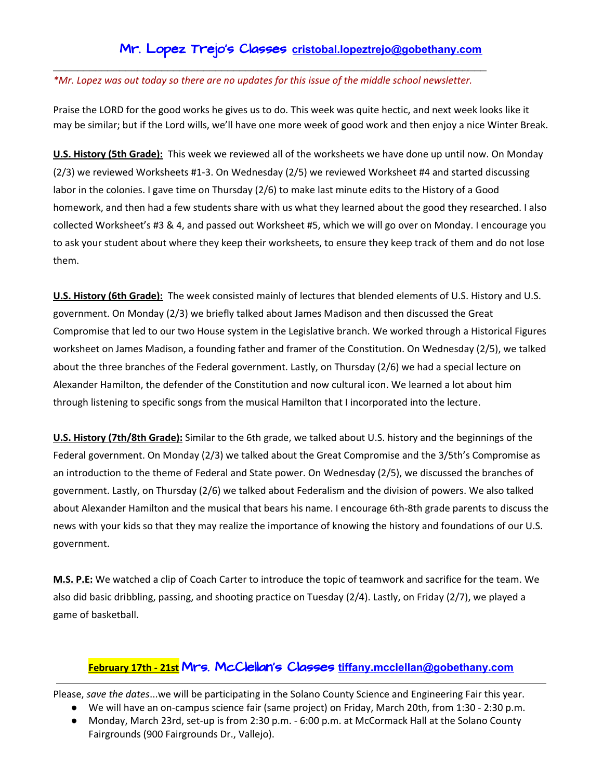# Mr. Lopez Trejo's Classes **cristobal.lopeztrejo[@gobethany.com](mailto:megumi.nomura@gobethany.com)**

#### *\*Mr. Lopez was out today so there are no updates for this issue of the middle school newsletter.*

\_\_\_\_\_\_\_\_\_\_\_\_\_\_\_\_\_\_\_\_\_\_\_\_\_\_\_\_\_\_\_\_\_\_\_\_\_\_\_\_\_\_\_\_\_\_\_\_\_\_\_\_\_\_\_\_\_\_\_\_\_\_\_\_\_\_\_\_\_\_\_\_

Praise the LORD for the good works he gives us to do. This week was quite hectic, and next week looks like it may be similar; but if the Lord wills, we'll have one more week of good work and then enjoy a nice Winter Break.

**U.S. History (5th Grade):** This week we reviewed all of the worksheets we have done up until now. On Monday (2/3) we reviewed Worksheets #1-3. On Wednesday (2/5) we reviewed Worksheet #4 and started discussing labor in the colonies. I gave time on Thursday (2/6) to make last minute edits to the History of a Good homework, and then had a few students share with us what they learned about the good they researched. I also collected Worksheet's #3 & 4, and passed out Worksheet #5, which we will go over on Monday. I encourage you to ask your student about where they keep their worksheets, to ensure they keep track of them and do not lose them.

**U.S. History (6th Grade):** The week consisted mainly of lectures that blended elements of U.S. History and U.S. government. On Monday (2/3) we briefly talked about James Madison and then discussed the Great Compromise that led to our two House system in the Legislative branch. We worked through a Historical Figures worksheet on James Madison, a founding father and framer of the Constitution. On Wednesday (2/5), we talked about the three branches of the Federal government. Lastly, on Thursday (2/6) we had a special lecture on Alexander Hamilton, the defender of the Constitution and now cultural icon. We learned a lot about him through listening to specific songs from the musical Hamilton that I incorporated into the lecture.

**U.S. History (7th/8th Grade):** Similar to the 6th grade, we talked about U.S. history and the beginnings of the Federal government. On Monday (2/3) we talked about the Great Compromise and the 3/5th's Compromise as an introduction to the theme of Federal and State power. On Wednesday (2/5), we discussed the branches of government. Lastly, on Thursday (2/6) we talked about Federalism and the division of powers. We also talked about Alexander Hamilton and the musical that bears his name. I encourage 6th-8th grade parents to discuss the news with your kids so that they may realize the importance of knowing the history and foundations of our U.S. government.

**M.S. P.E:** We watched a clip of Coach Carter to introduce the topic of teamwork and sacrifice for the team. We also did basic dribbling, passing, and shooting practice on Tuesday (2/4). Lastly, on Friday (2/7), we played a game of basketball.

## **February 17th - 21st** Mrs. McClellan's Classes **[tiffany.mcclellan@gobethany.com](mailto:tiffany.mcclellan@gobethany.com)**

Please, *save the dates*...we will be participating in the Solano County Science and Engineering Fair this year.

- We will have an on-campus science fair (same project) on Friday, March 20th, from 1:30 2:30 p.m.
- Monday, March 23rd, set-up is from 2:30 p.m. 6:00 p.m. at McCormack Hall at the Solano County Fairgrounds (900 Fairgrounds Dr., Vallejo).